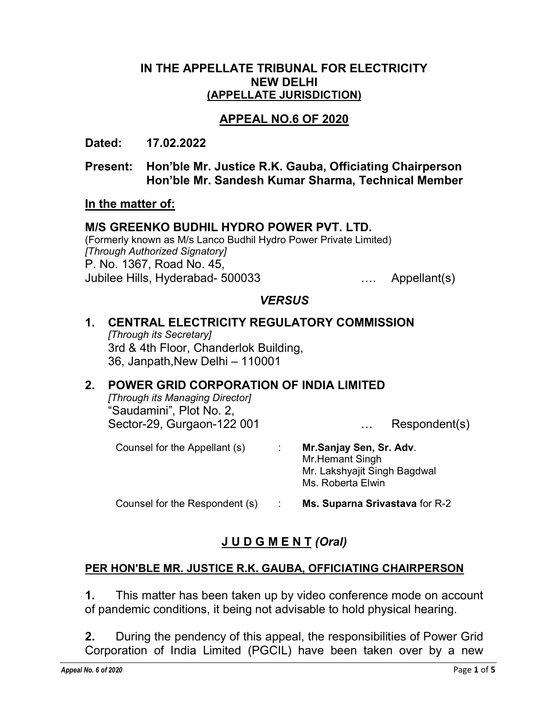## IN THE APPELLATE TRIBUNAL FOR ELECTRICITY NEW DELHI (APPELLATE JURISDICTION)

# APPEAL NO.6 OF 2020

Dated: 17.02.2022

Present: Hon'ble Mr. Justice R.K. Gauba, Officiating Chairperson Hon'ble Mr. Sandesh Kumar Sharma, Technical Member

#### In the matter of:

#### M/S GREENKO BUDHIL HYDRO POWER PVT. LTD.

(Formerly known as M/s Lanco Budhil Hydro Power Private Limited) [Through Authorized Signatory] P. No. 1367, Road No. 45, Jubilee Hills, Hyderabad- 500033 …. Appellant(s)

## **VERSUS**

## 1. CENTRAL ELECTRICITY REGULATORY COMMISSION [Through its Secretary] 3rd & 4th Floor, Chanderlok Building, 36, Janpath,New Delhi – 110001

# 2. POWER GRID CORPORATION OF INDIA LIMITED

[Through its Managing Director] "Saudamini", Plot No. 2, Sector-29, Gurgaon-122 001 ... Respondent(s)

Counsel for the Appellant (s) : Mr.Sanjay Sen, Sr. Adv. Mr.Hemant Singh Mr. Lakshyajit Singh Bagdwal Ms. Roberta Elwin Counsel for the Respondent (s) : Ms. Suparna Srivastava for R-2

# J U D G M E N T (Oral)

## PER HON'BLE MR. JUSTICE R.K. GAUBA, OFFICIATING CHAIRPERSON

1. This matter has been taken up by video conference mode on account of pandemic conditions, it being not advisable to hold physical hearing.

2. During the pendency of this appeal, the responsibilities of Power Grid Corporation of India Limited (PGCIL) have been taken over by a new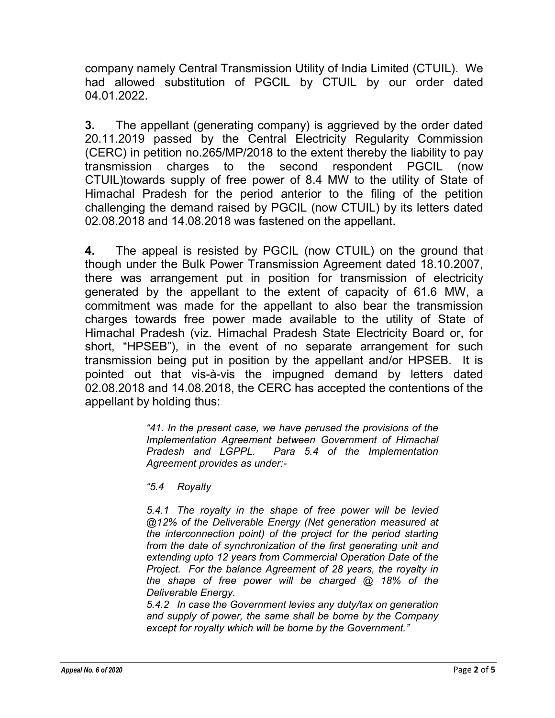company namely Central Transmission Utility of India Limited (CTUIL). We had allowed substitution of PGCIL by CTUIL by our order dated 04.01.2022.

3. The appellant (generating company) is aggrieved by the order dated 20.11.2019 passed by the Central Electricity Regularity Commission (CERC) in petition no.265/MP/2018 to the extent thereby the liability to pay transmission charges to the second respondent PGCIL (now CTUIL)towards supply of free power of 8.4 MW to the utility of State of Himachal Pradesh for the period anterior to the filing of the petition challenging the demand raised by PGCIL (now CTUIL) by its letters dated 02.08.2018 and 14.08.2018 was fastened on the appellant.

4. The appeal is resisted by PGCIL (now CTUIL) on the ground that though under the Bulk Power Transmission Agreement dated 18.10.2007, there was arrangement put in position for transmission of electricity generated by the appellant to the extent of capacity of 61.6 MW, a commitment was made for the appellant to also bear the transmission charges towards free power made available to the utility of State of Himachal Pradesh (viz. Himachal Pradesh State Electricity Board or, for short, "HPSEB"), in the event of no separate arrangement for such transmission being put in position by the appellant and/or HPSEB. It is pointed out that vis-à-vis the impugned demand by letters dated 02.08.2018 and 14.08.2018, the CERC has accepted the contentions of the appellant by holding thus:

> "41. In the present case, we have perused the provisions of the Implementation Agreement between Government of Himachal Pradesh and LGPPL. Para 5.4 of the Implementation Agreement provides as under:-

"5.4 Royalty

5.4.1 The royalty in the shape of free power will be levied @12% of the Deliverable Energy (Net generation measured at the interconnection point) of the project for the period starting from the date of synchronization of the first generating unit and extending upto 12 years from Commercial Operation Date of the Project. For the balance Agreement of 28 years, the royalty in the shape of free power will be charged @ 18% of the Deliverable Energy.

5.4.2 In case the Government levies any duty/tax on generation and supply of power, the same shall be borne by the Company except for royalty which will be borne by the Government."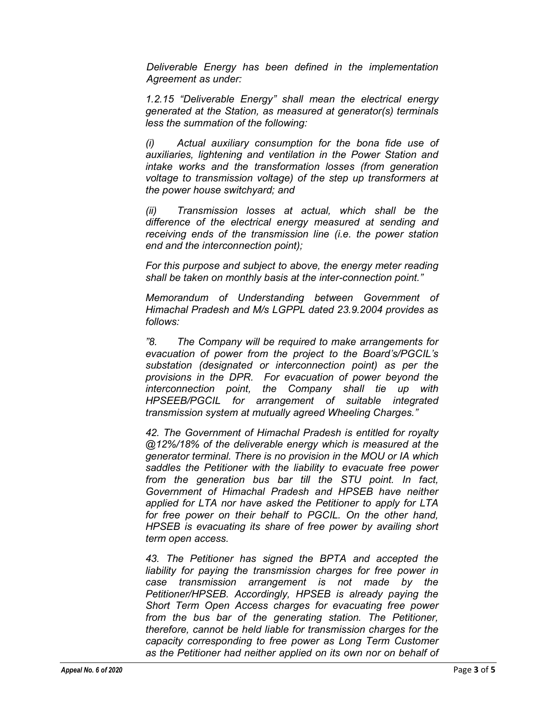Deliverable Energy has been defined in the implementation Agreement as under:

1.2.15 "Deliverable Energy" shall mean the electrical energy generated at the Station, as measured at generator(s) terminals less the summation of the following:

(i) Actual auxiliary consumption for the bona fide use of auxiliaries, lightening and ventilation in the Power Station and intake works and the transformation losses (from generation voltage to transmission voltage) of the step up transformers at the power house switchyard; and

(ii) Transmission losses at actual, which shall be the difference of the electrical energy measured at sending and receiving ends of the transmission line (i.e. the power station end and the interconnection point);

For this purpose and subject to above, the energy meter reading shall be taken on monthly basis at the inter-connection point."

Memorandum of Understanding between Government of Himachal Pradesh and M/s LGPPL dated 23.9.2004 provides as follows:

"8. The Company will be required to make arrangements for evacuation of power from the project to the Board's/PGCIL's substation (designated or interconnection point) as per the provisions in the DPR. For evacuation of power beyond the interconnection point, the Company shall tie up with HPSEEB/PGCIL for arrangement of suitable integrated transmission system at mutually agreed Wheeling Charges."

42. The Government of Himachal Pradesh is entitled for royalty @12%/18% of the deliverable energy which is measured at the generator terminal. There is no provision in the MOU or IA which saddles the Petitioner with the liability to evacuate free power from the generation bus bar till the STU point. In fact, Government of Himachal Pradesh and HPSEB have neither applied for LTA nor have asked the Petitioner to apply for LTA for free power on their behalf to PGCIL. On the other hand, HPSEB is evacuating its share of free power by availing short term open access.

43. The Petitioner has signed the BPTA and accepted the liability for paying the transmission charges for free power in case transmission arrangement is not made by the Petitioner/HPSEB. Accordingly, HPSEB is already paying the Short Term Open Access charges for evacuating free power from the bus bar of the generating station. The Petitioner, therefore, cannot be held liable for transmission charges for the capacity corresponding to free power as Long Term Customer as the Petitioner had neither applied on its own nor on behalf of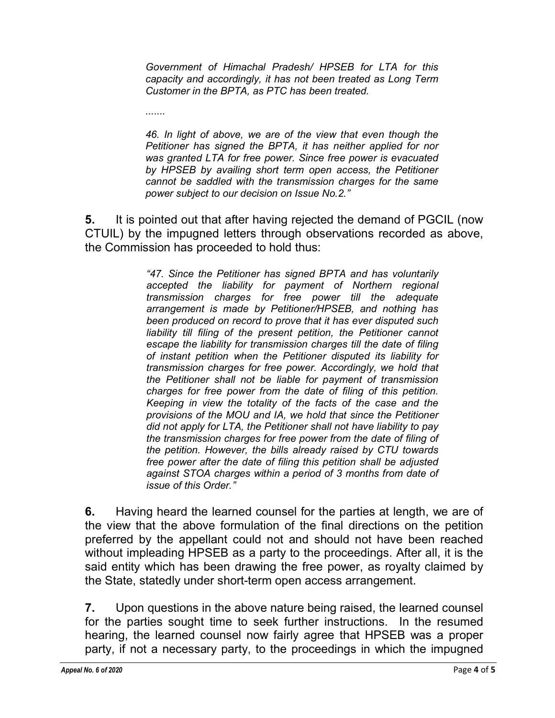Government of Himachal Pradesh/ HPSEB for LTA for this capacity and accordingly, it has not been treated as Long Term Customer in the BPTA, as PTC has been treated.

.......

46. In light of above, we are of the view that even though the Petitioner has signed the BPTA, it has neither applied for nor was granted LTA for free power. Since free power is evacuated by HPSEB by availing short term open access, the Petitioner cannot be saddled with the transmission charges for the same power subject to our decision on Issue No.2."

5. It is pointed out that after having rejected the demand of PGCIL (now CTUIL) by the impugned letters through observations recorded as above, the Commission has proceeded to hold thus:

> "47. Since the Petitioner has signed BPTA and has voluntarily accepted the liability for payment of Northern regional transmission charges for free power till the adequate arrangement is made by Petitioner/HPSEB, and nothing has been produced on record to prove that it has ever disputed such liability till filing of the present petition, the Petitioner cannot escape the liability for transmission charges till the date of filing of instant petition when the Petitioner disputed its liability for transmission charges for free power. Accordingly, we hold that the Petitioner shall not be liable for payment of transmission charges for free power from the date of filing of this petition. Keeping in view the totality of the facts of the case and the provisions of the MOU and IA, we hold that since the Petitioner did not apply for LTA, the Petitioner shall not have liability to pay the transmission charges for free power from the date of filing of the petition. However, the bills already raised by CTU towards free power after the date of filing this petition shall be adjusted against STOA charges within a period of 3 months from date of issue of this Order."

6. Having heard the learned counsel for the parties at length, we are of the view that the above formulation of the final directions on the petition preferred by the appellant could not and should not have been reached without impleading HPSEB as a party to the proceedings. After all, it is the said entity which has been drawing the free power, as royalty claimed by the State, statedly under short-term open access arrangement.

7. Upon questions in the above nature being raised, the learned counsel for the parties sought time to seek further instructions. In the resumed hearing, the learned counsel now fairly agree that HPSEB was a proper party, if not a necessary party, to the proceedings in which the impugned